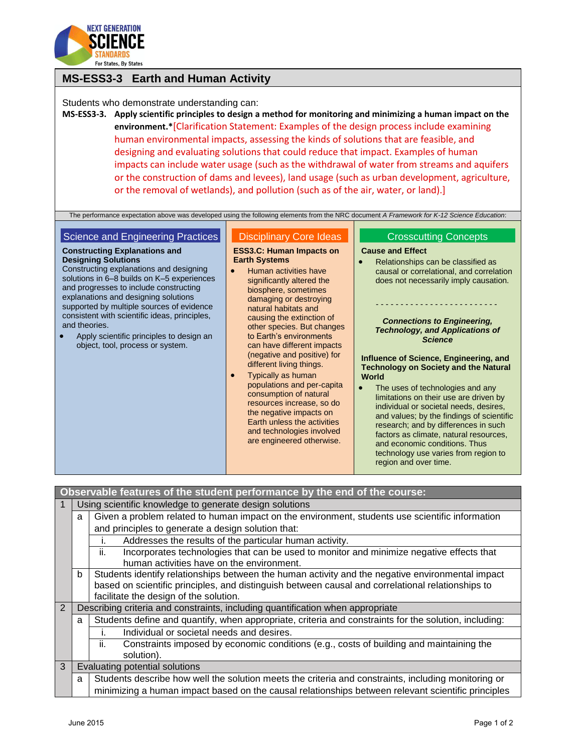

## **MS-ESS3-3 Earth and Human Activity**

Students who demonstrate understanding can:

**MS-ESS3-3. Apply scientific principles to design a method for monitoring and minimizing a human impact on the environment.\***[Clarification Statement: Examples of the design process include examining human environmental impacts, assessing the kinds of solutions that are feasible, and designing and evaluating solutions that could reduce that impact. Examples of human impacts can include water usage (such as the withdrawal of water from streams and aquifers or the construction of dams and levees), land usage (such as urban development, agriculture, or the removal of wetlands), and pollution (such as of the air, water, or land).]

The performance expectation above was developed using the following elements from the NRC document *A Framework for K-12 Science Education*:

### Science and Engineering Practices

#### **Constructing Explanations and Designing Solutions**

Constructing explanations and designing solutions in 6–8 builds on K–5 experiences and progresses to include constructing explanations and designing solutions supported by multiple sources of evidence consistent with scientific ideas, principles, and theories.

 Apply scientific principles to design an object, tool, process or system.

# Disciplinary Core Ideas

#### **ESS3.C: Human Impacts on Earth Systems**

- Human activities have significantly altered the biosphere, sometimes damaging or destroying natural habitats and causing the extinction of other species. But changes to Earth's environments can have different impacts (negative and positive) for different living things.
- Typically as human populations and per-capita consumption of natural resources increase, so do the negative impacts on Earth unless the activities and technologies involved are engineered otherwise.

#### Crosscutting Concepts

#### **Cause and Effect**

• Relationships can be classified as causal or correlational, and correlation does not necessarily imply causation.

- - - - - - - - - - - - - - - - - - - - - - - - -

#### *Connections to Engineering, Technology, and Applications of Science*

**Influence of Science, Engineering, and Technology on Society and the Natural World**

• The uses of technologies and any limitations on their use are driven by individual or societal needs, desires, and values; by the findings of scientific research; and by differences in such factors as climate, natural resources, and economic conditions. Thus technology use varies from region to region and over time.

### **Observable features of the student performance by the end of the course:**

| $\overline{1}$ | Using scientific knowledge to generate design solutions |                                                                                                       |  |
|----------------|---------------------------------------------------------|-------------------------------------------------------------------------------------------------------|--|
|                | a                                                       | Given a problem related to human impact on the environment, students use scientific information       |  |
|                |                                                         | and principles to generate a design solution that:                                                    |  |
|                |                                                         | Addresses the results of the particular human activity.                                               |  |
|                |                                                         | Incorporates technologies that can be used to monitor and minimize negative effects that<br>ii.       |  |
|                |                                                         | human activities have on the environment.                                                             |  |
|                | b                                                       | Students identify relationships between the human activity and the negative environmental impact      |  |
|                |                                                         | based on scientific principles, and distinguish between causal and correlational relationships to     |  |
|                |                                                         | facilitate the design of the solution.                                                                |  |
| 2              |                                                         | Describing criteria and constraints, including quantification when appropriate                        |  |
|                | a                                                       | Students define and quantify, when appropriate, criteria and constraints for the solution, including: |  |
|                |                                                         | Individual or societal needs and desires.                                                             |  |
|                |                                                         | Constraints imposed by economic conditions (e.g., costs of building and maintaining the<br>ii.        |  |
|                |                                                         | solution).                                                                                            |  |
| 3              |                                                         | Evaluating potential solutions                                                                        |  |
|                | a                                                       | Students describe how well the solution meets the criteria and constraints, including monitoring or   |  |
|                |                                                         | minimizing a human impact based on the causal relationships between relevant scientific principles    |  |